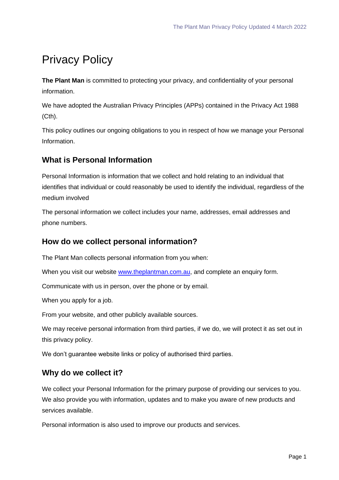# Privacy Policy

**The Plant Man** is committed to protecting your privacy, and confidentiality of your personal information.

We have adopted the Australian Privacy Principles (APPs) contained in the Privacy Act 1988 (Cth).

This policy outlines our ongoing obligations to you in respect of how we manage your Personal Information.

## **What is Personal Information**

Personal Information is information that we collect and hold relating to an individual that identifies that individual or could reasonably be used to identify the individual, regardless of the medium involved

The personal information we collect includes your name, addresses, email addresses and phone numbers.

### **How do we collect personal information?**

The Plant Man collects personal information from you when:

When you visit our website [www.theplantman.com.au,](http://www.theplantman.com.au/) and complete an enquiry form.

Communicate with us in person, over the phone or by email.

When you apply for a job.

From your website, and other publicly available sources.

We may receive personal information from third parties, if we do, we will protect it as set out in this privacy policy.

We don't quarantee website links or policy of authorised third parties.

#### **Why do we collect it?**

We collect your Personal Information for the primary purpose of providing our services to you. We also provide you with information, updates and to make you aware of new products and services available.

Personal information is also used to improve our products and services.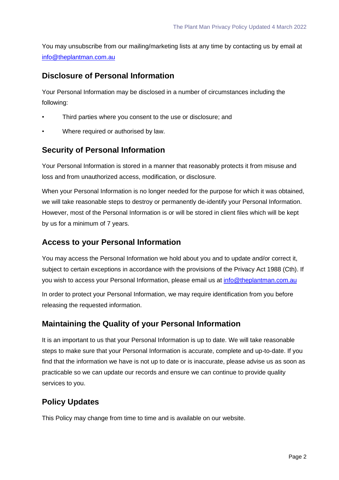You may unsubscribe from our mailing/marketing lists at any time by contacting us by email at [info@theplantman.com.au](mailto:info@theplantman.com.au)

#### **Disclosure of Personal Information**

Your Personal Information may be disclosed in a number of circumstances including the following:

- Third parties where you consent to the use or disclosure; and
- Where required or authorised by law.

#### **Security of Personal Information**

Your Personal Information is stored in a manner that reasonably protects it from misuse and loss and from unauthorized access, modification, or disclosure.

When your Personal Information is no longer needed for the purpose for which it was obtained, we will take reasonable steps to destroy or permanently de-identify your Personal Information. However, most of the Personal Information is or will be stored in client files which will be kept by us for a minimum of 7 years.

#### **Access to your Personal Information**

You may access the Personal Information we hold about you and to update and/or correct it, subject to certain exceptions in accordance with the provisions of the Privacy Act 1988 (Cth). If you wish to access your Personal Information, please email us at [info@theplantman.com.au](mailto:info@theplantman.com.au)

In order to protect your Personal Information, we may require identification from you before releasing the requested information.

#### **Maintaining the Quality of your Personal Information**

It is an important to us that your Personal Information is up to date. We will take reasonable steps to make sure that your Personal Information is accurate, complete and up-to-date. If you find that the information we have is not up to date or is inaccurate, please advise us as soon as practicable so we can update our records and ensure we can continue to provide quality services to you.

## **Policy Updates**

This Policy may change from time to time and is available on our website.